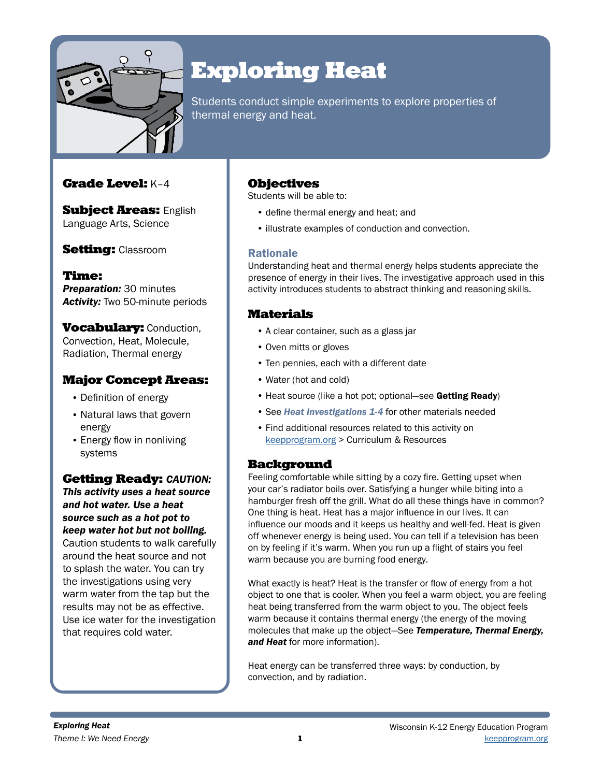

# Exploring Heat

Students conduct simple experiments to explore properties of thermal energy and heat.

## Grade Level: K–4

**Subject Areas: English** Language Arts, Science

## **Setting: Classroom**

Time: **Preparation: 30 minutes** *Activity:* Two 50-minute periods

**Vocabulary: Conduction,** Convection, Heat, Molecule, Radiation, Thermal energy

## Major Concept Areas:

- Definition of energy
- Natural laws that govern energy
- Energy flow in nonliving systems

## Getting Ready: *CAUTION:*

*This activity uses a heat source and hot water. Use a heat source such as a hot pot to keep water hot but not boiling.*  Caution students to walk carefully around the heat source and not to splash the water. You can try the investigations using very warm water from the tap but the results may not be as effective. Use ice water for the investigation that requires cold water.

## **Objectives**

Students will be able to:

- define thermal energy and heat; and
- illustrate examples of conduction and convection.

## Rationale

Understanding heat and thermal energy helps students appreciate the presence of energy in their lives. The investigative approach used in this activity introduces students to abstract thinking and reasoning skills.

## Materials

- A clear container, such as a glass jar
- Oven mitts or gloves
- Ten pennies, each with a different date
- Water (hot and cold)
- Heat source (like a hot pot; optional—see Getting Ready)
- See *Heat Investigations 1-4* for other materials needed
- Find additional resources related to this activity on [keepprogram.org](http://keepprogram.org) > Curriculum & Resources

## Background

Feeling comfortable while sitting by a cozy fire. Getting upset when your car's radiator boils over. Satisfying a hunger while biting into a hamburger fresh off the grill. What do all these things have in common? One thing is heat. Heat has a major influence in our lives. It can influence our moods and it keeps us healthy and well-fed. Heat is given off whenever energy is being used. You can tell if a television has been on by feeling if it's warm. When you run up a flight of stairs you feel warm because you are burning food energy.

What exactly is heat? Heat is the transfer or flow of energy from a hot object to one that is cooler. When you feel a warm object, you are feeling heat being transferred from the warm object to you. The object feels warm because it contains thermal energy (the energy of the moving molecules that make up the object—See *Temperature, Thermal Energy, and Heat* for more information).

Heat energy can be transferred three ways: by conduction, by convection, and by radiation.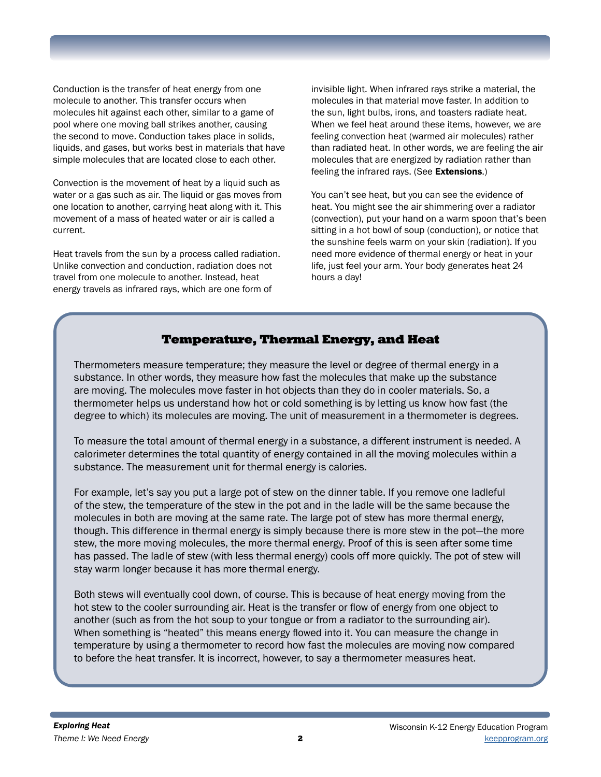Conduction is the transfer of heat energy from one molecule to another. This transfer occurs when molecules hit against each other, similar to a game of pool where one moving ball strikes another, causing the second to move. Conduction takes place in solids, liquids, and gases, but works best in materials that have simple molecules that are located close to each other.

Convection is the movement of heat by a liquid such as water or a gas such as air. The liquid or gas moves from one location to another, carrying heat along with it. This movement of a mass of heated water or air is called a current.

Heat travels from the sun by a process called radiation. Unlike convection and conduction, radiation does not travel from one molecule to another. Instead, heat energy travels as infrared rays, which are one form of

invisible light. When infrared rays strike a material, the molecules in that material move faster. In addition to the sun, light bulbs, irons, and toasters radiate heat. When we feel heat around these items, however, we are feeling convection heat (warmed air molecules) rather than radiated heat. In other words, we are feeling the air molecules that are energized by radiation rather than feeling the infrared rays. (See Extensions.)

You can't see heat, but you can see the evidence of heat. You might see the air shimmering over a radiator (convection), put your hand on a warm spoon that's been sitting in a hot bowl of soup (conduction), or notice that the sunshine feels warm on your skin (radiation). If you need more evidence of thermal energy or heat in your life, just feel your arm. Your body generates heat 24 hours a day!

## Temperature, Thermal Energy, and Heat

Thermometers measure temperature; they measure the level or degree of thermal energy in a substance. In other words, they measure how fast the molecules that make up the substance are moving. The molecules move faster in hot objects than they do in cooler materials. So, a thermometer helps us understand how hot or cold something is by letting us know how fast (the degree to which) its molecules are moving. The unit of measurement in a thermometer is degrees.

To measure the total amount of thermal energy in a substance, a different instrument is needed. A calorimeter determines the total quantity of energy contained in all the moving molecules within a substance. The measurement unit for thermal energy is calories.

For example, let's say you put a large pot of stew on the dinner table. If you remove one ladleful of the stew, the temperature of the stew in the pot and in the ladle will be the same because the molecules in both are moving at the same rate. The large pot of stew has more thermal energy, though. This difference in thermal energy is simply because there is more stew in the pot—the more stew, the more moving molecules, the more thermal energy. Proof of this is seen after some time has passed. The ladle of stew (with less thermal energy) cools off more quickly. The pot of stew will stay warm longer because it has more thermal energy.

Both stews will eventually cool down, of course. This is because of heat energy moving from the hot stew to the cooler surrounding air. Heat is the transfer or flow of energy from one object to another (such as from the hot soup to your tongue or from a radiator to the surrounding air). When something is "heated" this means energy flowed into it. You can measure the change in temperature by using a thermometer to record how fast the molecules are moving now compared to before the heat transfer. It is incorrect, however, to say a thermometer measures heat.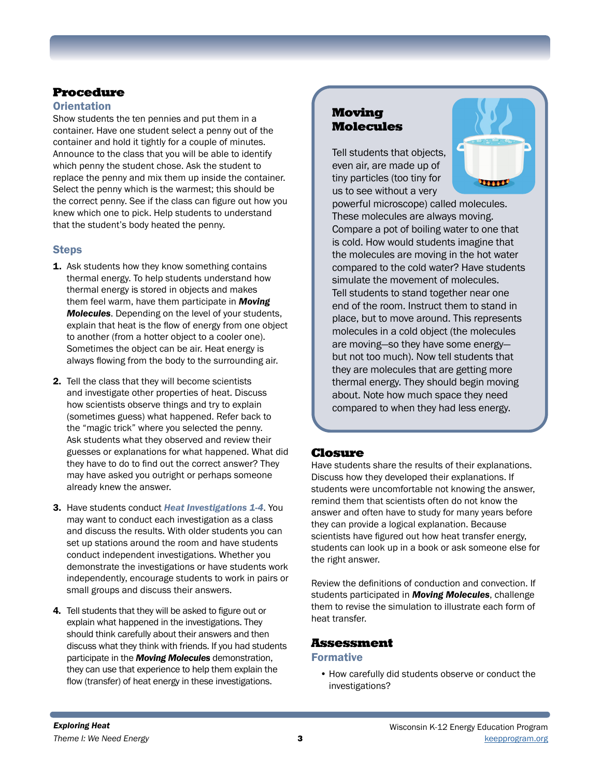# Procedure

### **Orientation**

Show students the ten pennies and put them in a container. Have one student select a penny out of the container and hold it tightly for a couple of minutes. Announce to the class that you will be able to identify which penny the student chose. Ask the student to replace the penny and mix them up inside the container. Select the penny which is the warmest; this should be the correct penny. See if the class can figure out how you knew which one to pick. Help students to understand that the student's body heated the penny.

## **Steps**

- **1.** Ask students how they know something contains thermal energy. To help students understand how thermal energy is stored in objects and makes them feel warm, have them participate in *Moving Molecules*. Depending on the level of your students, explain that heat is the flow of energy from one object to another (from a hotter object to a cooler one). Sometimes the object can be air. Heat energy is always flowing from the body to the surrounding air.
- 2. Tell the class that they will become scientists and investigate other properties of heat. Discuss how scientists observe things and try to explain (sometimes guess) what happened. Refer back to the "magic trick" where you selected the penny. Ask students what they observed and review their guesses or explanations for what happened. What did they have to do to find out the correct answer? They may have asked you outright or perhaps someone already knew the answer.
- 3. Have students conduct *Heat Investigations 1-4*. You may want to conduct each investigation as a class and discuss the results. With older students you can set up stations around the room and have students conduct independent investigations. Whether you demonstrate the investigations or have students work independently, encourage students to work in pairs or small groups and discuss their answers.
- 4. Tell students that they will be asked to figure out or explain what happened in the investigations. They should think carefully about their answers and then discuss what they think with friends. If you had students participate in the *Moving Molecules* demonstration, they can use that experience to help them explain the flow (transfer) of heat energy in these investigations.

## Moving Molecules

Tell students that objects, even air, are made up of tiny particles (too tiny for us to see without a very



powerful microscope) called molecules. These molecules are always moving. Compare a pot of boiling water to one that is cold. How would students imagine that the molecules are moving in the hot water compared to the cold water? Have students simulate the movement of molecules. Tell students to stand together near one end of the room. Instruct them to stand in place, but to move around. This represents molecules in a cold object (the molecules are moving—so they have some energy but not too much). Now tell students that they are molecules that are getting more thermal energy. They should begin moving about. Note how much space they need compared to when they had less energy.

## Closure

Have students share the results of their explanations. Discuss how they developed their explanations. If students were uncomfortable not knowing the answer, remind them that scientists often do not know the answer and often have to study for many years before they can provide a logical explanation. Because scientists have figured out how heat transfer energy, students can look up in a book or ask someone else for the right answer.

Review the definitions of conduction and convection. If students participated in *Moving Molecules*, challenge them to revise the simulation to illustrate each form of heat transfer.

## Assessment

### Formative

• How carefully did students observe or conduct the investigations?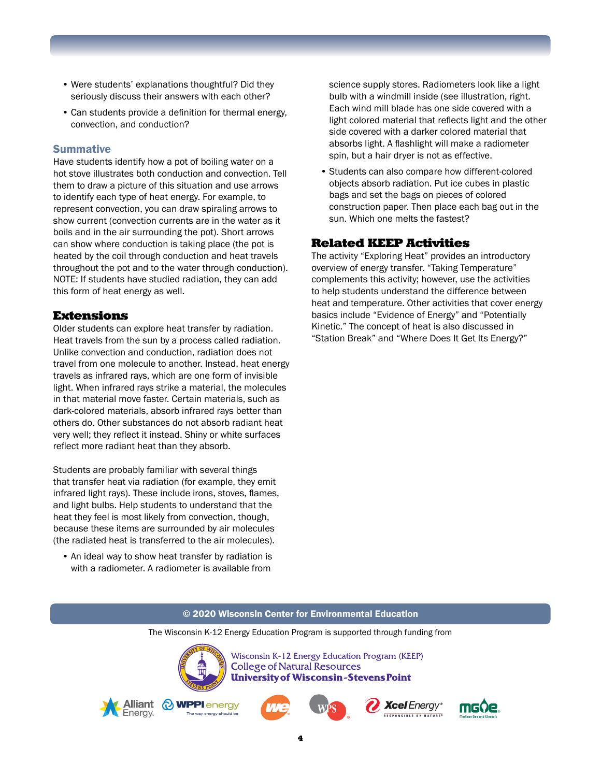- Were students' explanations thoughtful? Did they seriously discuss their answers with each other?
- Can students provide a definition for thermal energy, convection, and conduction?

#### **Summative**

Have students identify how a pot of boiling water on a hot stove illustrates both conduction and convection. Tell them to draw a picture of this situation and use arrows to identify each type of heat energy. For example, to represent convection, you can draw spiraling arrows to show current (convection currents are in the water as it boils and in the air surrounding the pot). Short arrows can show where conduction is taking place (the pot is heated by the coil through conduction and heat travels throughout the pot and to the water through conduction). NOTE: If students have studied radiation, they can add this form of heat energy as well.

#### Extensions

Older students can explore heat transfer by radiation. Heat travels from the sun by a process called radiation. Unlike convection and conduction, radiation does not travel from one molecule to another. Instead, heat energy travels as infrared rays, which are one form of invisible light. When infrared rays strike a material, the molecules in that material move faster. Certain materials, such as dark-colored materials, absorb infrared rays better than others do. Other substances do not absorb radiant heat very well; they reflect it instead. Shiny or white surfaces reflect more radiant heat than they absorb.

Students are probably familiar with several things that transfer heat via radiation (for example, they emit infrared light rays). These include irons, stoves, flames, and light bulbs. Help students to understand that the heat they feel is most likely from convection, though, because these items are surrounded by air molecules (the radiated heat is transferred to the air molecules).

• An ideal way to show heat transfer by radiation is with a radiometer. A radiometer is available from

science supply stores. Radiometers look like a light bulb with a windmill inside (see illustration, right. Each wind mill blade has one side covered with a light colored material that reflects light and the other side covered with a darker colored material that absorbs light. A flashlight will make a radiometer spin, but a hair dryer is not as effective.

• Students can also compare how different-colored objects absorb radiation. Put ice cubes in plastic bags and set the bags on pieces of colored construction paper. Then place each bag out in the sun. Which one melts the fastest?

### Related KEEP Activities

The activity "Exploring Heat" provides an introductory overview of energy transfer. "Taking Temperature" complements this activity; however, use the activities to help students understand the difference between heat and temperature. Other activities that cover energy basics include "Evidence of Energy" and "Potentially Kinetic." The concept of heat is also discussed in "Station Break" and "Where Does It Get Its Energy?"

#### © 2020 Wisconsin Center for Environmental Education

The Wisconsin K-12 Energy Education Program is supported through funding from

4



Wisconsin K-12 Energy Education Program (KEEP) **College of Natural Resources University of Wisconsin-Stevens Point** 









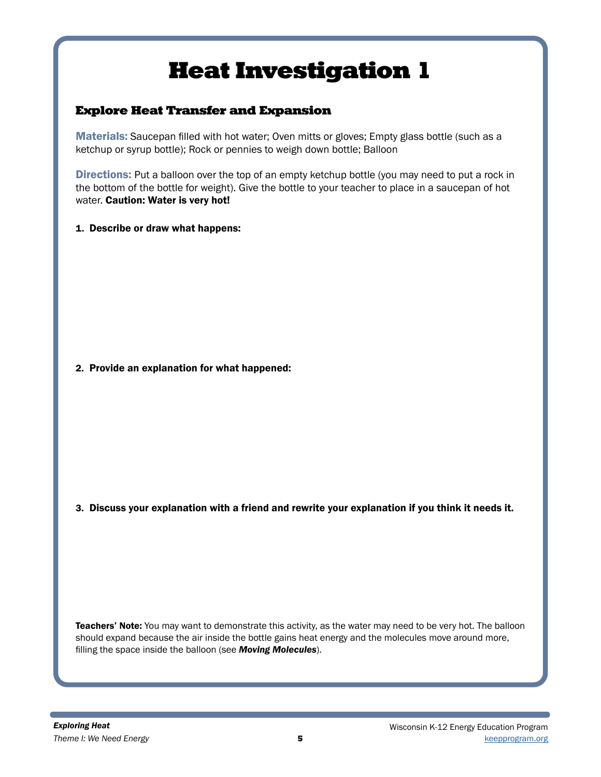## Explore Heat Transfer and Expansion

Materials: Saucepan filled with hot water; Oven mitts or gloves; Empty glass bottle (such as a ketchup or syrup bottle); Rock or pennies to weigh down bottle; Balloon

Directions: Put a balloon over the top of an empty ketchup bottle (you may need to put a rock in the bottom of the bottle for weight). Give the bottle to your teacher to place in a saucepan of hot water. Caution: Water is very hot!

1. Describe or draw what happens:

2. Provide an explanation for what happened:

3. Discuss your explanation with a friend and rewrite your explanation if you think it needs it.

Teachers' Note: You may want to demonstrate this activity, as the water may need to be very hot. The balloon should expand because the air inside the bottle gains heat energy and the molecules move around more, filling the space inside the balloon (see *Moving Molecules*).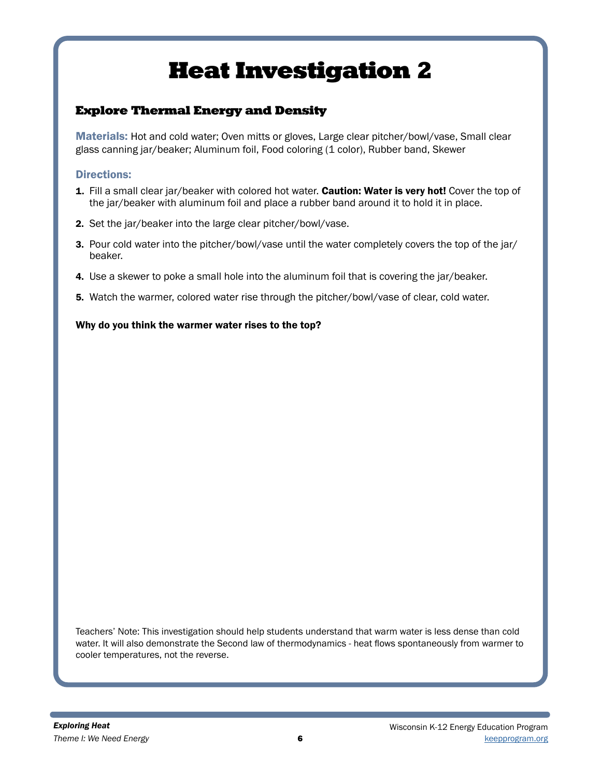# Explore Thermal Energy and Density

Materials: Hot and cold water; Oven mitts or gloves, Large clear pitcher/bowl/vase, Small clear glass canning jar/beaker; Aluminum foil, Food coloring (1 color), Rubber band, Skewer

### Directions:

- 1. Fill a small clear jar/beaker with colored hot water. Caution: Water is very hot! Cover the top of the jar/beaker with aluminum foil and place a rubber band around it to hold it in place.
- 2. Set the jar/beaker into the large clear pitcher/bowl/vase.
- 3. Pour cold water into the pitcher/bowl/vase until the water completely covers the top of the jar/ beaker.
- 4. Use a skewer to poke a small hole into the aluminum foil that is covering the jar/beaker.
- 5. Watch the warmer, colored water rise through the pitcher/bowl/vase of clear, cold water.

### Why do you think the warmer water rises to the top?

Teachers' Note: This investigation should help students understand that warm water is less dense than cold water. It will also demonstrate the Second law of thermodynamics - heat flows spontaneously from warmer to cooler temperatures, not the reverse.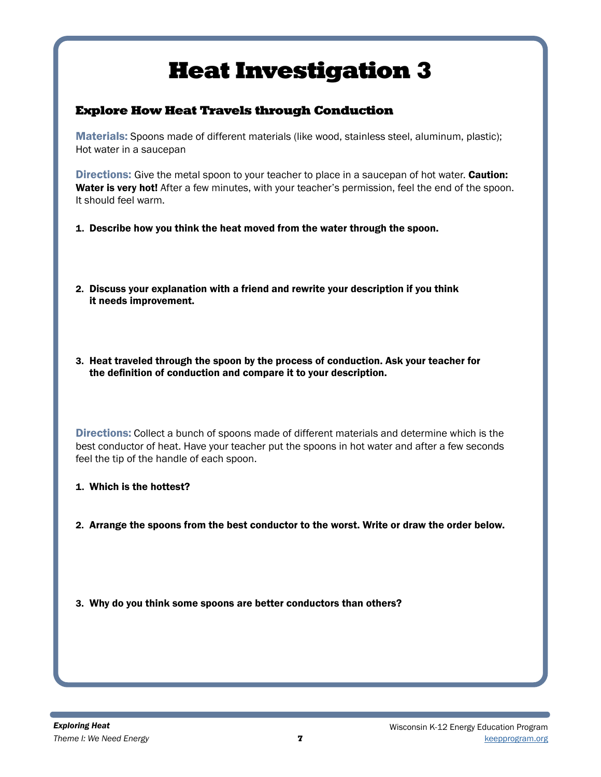## Explore How Heat Travels through Conduction

Materials: Spoons made of different materials (like wood, stainless steel, aluminum, plastic); Hot water in a saucepan

**Directions:** Give the metal spoon to your teacher to place in a saucepan of hot water. **Caution:** Water is very hot! After a few minutes, with your teacher's permission, feel the end of the spoon. It should feel warm.

- 1. Describe how you think the heat moved from the water through the spoon.
- 2. Discuss your explanation with a friend and rewrite your description if you think it needs improvement.
- 3. Heat traveled through the spoon by the process of conduction. Ask your teacher for the definition of conduction and compare it to your description.

Directions: Collect a bunch of spoons made of different materials and determine which is the best conductor of heat. Have your teacher put the spoons in hot water and after a few seconds feel the tip of the handle of each spoon.

- 1. Which is the hottest?
- 2. Arrange the spoons from the best conductor to the worst. Write or draw the order below.
- 3. Why do you think some spoons are better conductors than others?